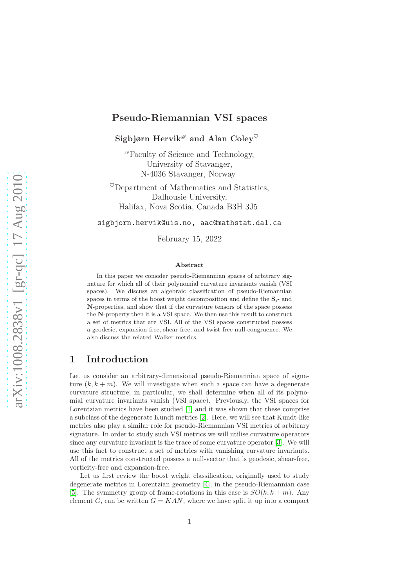# Pseudo-Riemannian VSI spaces

Sigbjørn Hervik<sup> $\mathscr P$ </sup> and Alan Coley<sup> $\heartsuit$ </sup>

 ${}^{\mathscr{P}}$ Faculty of Science and Technology, University of Stavanger, N-4036 Stavanger, Norway

 $^{\heartsuit}$ Department of Mathematics and Statistics, Dalhousie University, Halifax, Nova Scotia, Canada B3H 3J5

sigbjorn.hervik@uis.no, aac@mathstat.dal.ca

February 15, 2022

#### Abstract

In this paper we consider pseudo-Riemannian spaces of arbitrary signature for which all of their polynomial curvature invariants vanish (VSI spaces). We discuss an algebraic classification of pseudo-Riemannian spaces in terms of the boost weight decomposition and define the  $S_i$ - and N-properties, and show that if the curvature tensors of the space possess the N-property then it is a VSI space. We then use this result to construct a set of metrics that are VSI. All of the VSI spaces constructed possess a geodesic, expansion-free, shear-free, and twist-free null-congruence. We also discuss the related Walker metrics.

# 1 Introduction

Let us consider an arbitrary-dimensional pseudo-Riemannian space of signature  $(k, k + m)$ . We will investigate when such a space can have a degenerate curvature structure; in particular, we shall determine when all of its polynomial curvature invariants vanish (VSI space). Previously, the VSI spaces for Lorentzian metrics have been studied [\[1\]](#page-12-0) and it was shown that these comprise a subclass of the degenerate Kundt metrics [\[2\]](#page-13-0). Here, we will see that Kundt-like metrics also play a similar role for pseudo-Riemannian VSI metrics of arbitrary signature. In order to study such VSI metrics we will utilise curvature operators since any curvature invariant is the trace of some curvature operator [\[3\]](#page-13-1). We will use this fact to construct a set of metrics with vanishing curvature invariants. All of the metrics constructed possess a null-vector that is geodesic, shear-free, vorticity-free and expansion-free.

Let us first review the boost weight classification, originally used to study degenerate metrics in Lorentzian geometry [\[4\]](#page-13-2), in the pseudo-Riemannian case [\[5\]](#page-13-3). The symmetry group of frame-rotations in this case is  $SO(k, k+m)$ . Any element G, can be written  $G = KAN$ , where we have split it up into a compact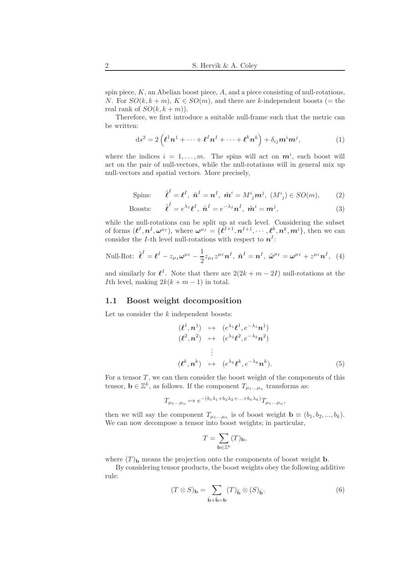spin piece,  $K$ , an Abelian boost piece,  $A$ , and a piece consisting of null-rotations, N. For  $SO(k, k+m)$ ,  $K \in SO(m)$ , and there are k-independent boosts (= the real rank of  $SO(k, k+m)$ .

Therefore, we first introduce a suitable null-frame such that the metric can be written:

$$
ds^{2} = 2\left(\boldsymbol{\ell}^{1}\boldsymbol{n}^{1} + \cdots + \boldsymbol{\ell}^{I}\boldsymbol{n}^{I} + \cdots + \boldsymbol{\ell}^{k}\boldsymbol{n}^{k}\right) + \delta_{ij}\boldsymbol{m}^{i}\boldsymbol{m}^{j},
$$
\n(1)

where the indices  $i = 1, \ldots, m$ . The spins will act on  $m^i$ , each boost will act on the pair of null-vectors, while the null-rotations will in general mix up null-vectors and spatial vectors. More precisely,

$$
\text{Spins:} \qquad \tilde{\boldsymbol{\ell}}^I = \boldsymbol{\ell}^I, \ \tilde{\boldsymbol{n}}^I = \boldsymbol{n}^I, \ \tilde{\boldsymbol{m}}^i = M^i_{\ j} \boldsymbol{m}^j, \ (M^i_{\ j}) \in SO(m), \tag{2}
$$

$$
\text{Boost:} \qquad \tilde{\ell}^I = e^{\lambda_I} \ell^I, \ \tilde{n}^I = e^{-\lambda_I} n^I, \ \tilde{m}^i = m^j,\tag{3}
$$

while the null-rotations can be split up at each level. Considering the subset of forms  $(\ell^I, n^I, \omega^{\mu_I})$ , where  $\omega^{\mu_I} = \{\ell^{I+1}, n^{I+1}, \cdots, \ell^k, n^k, m^i\}$ , then we can consider the *I*-th level null-rotations with respect to  $n<sup>I</sup>$ :

Null-Rot: 
$$
\tilde{\boldsymbol{\ell}}^I = \boldsymbol{\ell}^I - z_{\mu_I} \boldsymbol{\omega}^{\mu_I} - \frac{1}{2} z_{\mu_I} z^{\mu_I} \boldsymbol{n}^I, \ \tilde{\boldsymbol{n}}^I = \boldsymbol{n}^I, \ \tilde{\boldsymbol{\omega}}^{\mu_I} = \boldsymbol{\omega}^{\mu_I} + z^{\mu_I} \boldsymbol{n}^I, \ (4)
$$

and similarly for  $\ell^I$ . Note that there are  $2(2k + m - 2I)$  null-rotations at the Ith level, making  $2k(k + m - 1)$  in total.

#### 1.1 Boost weight decomposition

Let us consider the  $k$  independent boosts:

$$
(\ell^1, n^1) \mapsto (e^{\lambda_1} \ell^1, e^{-\lambda_1} n^1)
$$
  
\n
$$
(\ell^2, n^2) \mapsto (e^{\lambda_2} \ell^2, e^{-\lambda_2} n^2)
$$
  
\n
$$
\vdots
$$
  
\n
$$
(\ell^k, n^k) \mapsto (e^{\lambda_k} \ell^k, e^{-\lambda_k} n^k).
$$
  
\n(5)

,

For a tensor  $T$ , we can then consider the boost weight of the components of this tensor,  $\mathbf{b} \in \mathbb{Z}^k$ , as follows. If the component  $T_{\mu_1...\mu_n}$  transforms as:

$$
T_{\mu_1...\mu_n} \mapsto e^{-(b_1\lambda_1 + b_2\lambda_2 + ... + b_k\lambda_k)} T_{\mu_1...\mu_n}
$$

then we will say the component  $T_{\mu_1...\mu_n}$  is of boost weight  $\mathbf{b} \equiv (b_1, b_2, ..., b_k)$ . We can now decompose a tensor into boost weights; in particular,

$$
T=\sum_{{\mathbf b}\in{\mathbb Z}^k}(T)_{{\mathbf b}},
$$

where  $(T)$ <sub>b</sub> means the projection onto the components of boost weight **b**.

By considering tensor products, the boost weights obey the following additive rule:

$$
(T \otimes S)_{\mathbf{b}} = \sum_{\tilde{\mathbf{b}} + \hat{\mathbf{b}} = \mathbf{b}} (T)_{\tilde{\mathbf{b}}} \otimes (S)_{\hat{\mathbf{b}}}.
$$
 (6)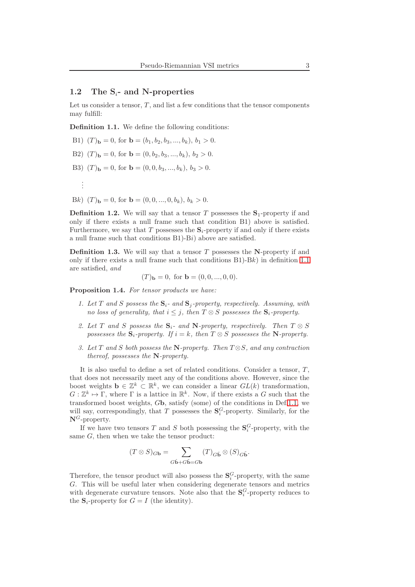#### 1.2 The  $S_i$ - and N-properties

Let us consider a tensor,  $T$ , and list a few conditions that the tensor components may fulfill:

<span id="page-2-0"></span>Definition 1.1. We define the following conditions:

B1)  $(T)$ <sub>b</sub> = 0, for b =  $(b_1, b_2, b_3, ..., b_k)$ ,  $b_1 > 0$ .

- B2)  $(T)$ <sub>b</sub> = 0, for **b** =  $(0, b_2, b_3, ..., b_k), b_2 > 0$ .
- B3)  $(T)$ <sub>b</sub> = 0, for **b** =  $(0, 0, b_3, ..., b_k)$ ,  $b_3 > 0$ .
- Bk)  $(T)_{\mathbf{b}} = 0$ , for  $\mathbf{b} = (0, 0, ..., 0, b_k), b_k > 0$ .

. . .

**Definition 1.2.** We will say that a tensor T possesses the  $S_1$ -property if and only if there exists a null frame such that condition B1) above is satisfied. Furthermore, we say that T possesses the  $S_i$ -property if and only if there exists a null frame such that conditions B1)-Bi) above are satisfied.

**Definition 1.3.** We will say that a tensor  $T$  possesses the N-property if and only if there exists a null frame such that conditions  $B1$ )- $Bk$ ) in definition [1.1](#page-2-0) are satisfied, and

$$
(T)b = 0
$$
, for **b** =  $(0, 0, ..., 0, 0)$ .

Proposition 1.4. For tensor products we have:

- 1. Let T and S possess the  $S_i$  and  $S_j$ -property, respectively. Assuming, with no loss of generality, that  $i \leq j$ , then  $T \otimes S$  possesses the  $S_i$ -property.
- 2. Let T and S possess the  $S_i$  and N-property, respectively. Then  $T \otimes S$ possesses the  $S_i$ -property. If  $i = k$ , then  $T \otimes S$  possesses the N-property.
- 3. Let T and S both possess the N-property. Then  $T \otimes S$ , and any contraction thereof, possesses the N-property.

It is also useful to define a set of related conditions. Consider a tensor,  $T$ , that does not necessarily meet any of the conditions above. However, since the boost weights  $\mathbf{b} \in \mathbb{Z}^k \subset \mathbb{R}^k$ , we can consider a linear  $GL(k)$  transformation,  $G: \mathbb{Z}^k \to \Gamma$ , where  $\Gamma$  is a lattice in  $\mathbb{R}^k$ . Now, if there exists a G such that the transformed boost weights, Gb, satisfy (some) of the conditions in Def[.1.1,](#page-2-0) we will say, correspondingly, that T possesses the  $S_i^G$ -property. Similarly, for the  $N^G$ -property.

If we have two tensors  $T$  and  $S$  both possessing the  $\mathbf{S}_i^G$ -property, with the same  $G$ , then when we take the tensor product:

$$
(T\otimes S)_{G\mathbf{b}}=\sum_{G\hat{\mathbf{b}}+G\check{\mathbf{b}}=G\mathbf{b}}(T)_{G\hat{\mathbf{b}}}\otimes (S)_{G\tilde{\mathbf{b}}}.
$$

Therefore, the tensor product will also possess the  $S_i^G$ -property, with the same G. This will be useful later when considering degenerate tensors and metrics with degenerate curvature tensors. Note also that the  $S_i^G$ -property reduces to the  $S_i$ -property for  $G = I$  (the identity).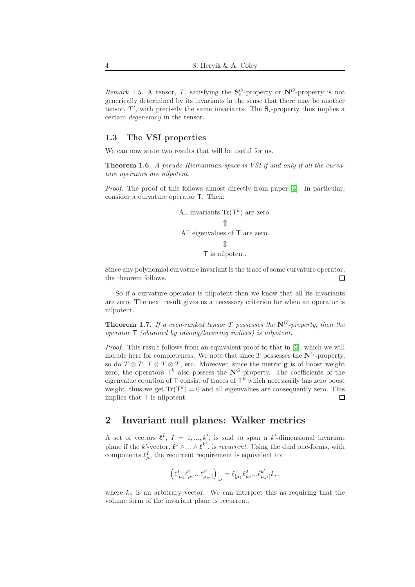Remark 1.5. A tensor, T, satisfying the  $S_i^G$ -property or  $N^G$ -property is not generically determined by its invariants in the sense that there may be another tensor,  $T'$ , with precisely the same invariants. The  $S_i$ -property thus implies a certain degeneracy in the tensor.

#### 1.3 The VSI properties

We can now state two results that will be useful for us.

**Theorem 1.6.** A pseudo-Riemannian space is VSI if and only if all the curvature operators are nilpotent.

Proof. The proof of this follows almost directly from paper [\[3\]](#page-13-1). In particular, consider a curvature operator T. Then:

All invariants 
$$
\text{Tr}(\mathsf{T}^k)
$$
 are zero.  
\n $\updownarrow$   
\nAll eigenvalues of T are zero.  
\n $\updownarrow$   
\nT is nilpotent.

Since any polynomial curvature invariant is the trace of some curvature operator, the theorem follows.  $\Box$ 

So if a curvature operator is nilpotent then we know that all its invariants are zero. The next result gives us a necessary criterion for when an operator is nilpotent.

**Theorem 1.7.** If a even-ranked tensor T possesses the  $N^G$ -property, then the operator T (obtained by raising/lowering indices) is nilpotent.

Proof. This result follows from an equivalent proof to that in [\[3\]](#page-13-1), which we will include here for completeness. We note that since T possesses the  $N^G$ -property, so do  $T \otimes T$ ,  $T \otimes T \otimes T$ , etc. Moreover, since the metric **g** is of boost weight zero, the operators  $\mathsf{T}^k$  also possess the  $\mathbb{N}^G$ -property. The coefficients of the eigenvalue equation of  $\mathsf T$  consist of traces of  $\mathsf T^k$  which necessarily has zero boost weight, thus we get  $\text{Tr}(\mathsf{T}^k) = 0$  and all eigenvalues are consequently zero. This implies that T is nilpotent. П

## 2 Invariant null planes: Walker metrics

A set of vectors  $\ell^I$ ,  $I = 1, ..., k'$ , is said to span a k'-dimensional invariant plane if the k'-vector,  $\ell^1 \wedge ... \wedge \ell^{k'}$ , is *recurrent*. Using the dual one-forms, with components  $\ell^I_\mu$ , the recurrent requirement is equivalent to:

$$
\Bigl(\ell^1_{[\mu_1}\ell^2_{\mu_2}...\ell^{k'}_{\mu_{k'}]}\Bigr)_{;\nu}=\ell^1_{[\mu_1}\ell^2_{\mu_2}...\ell^{k'}_{\mu_{k'}]}k_\nu,
$$

where  $k_{\nu}$  is an arbitrary vector. We can interpret this as requiring that the volume form of the invariant plane is recurrent.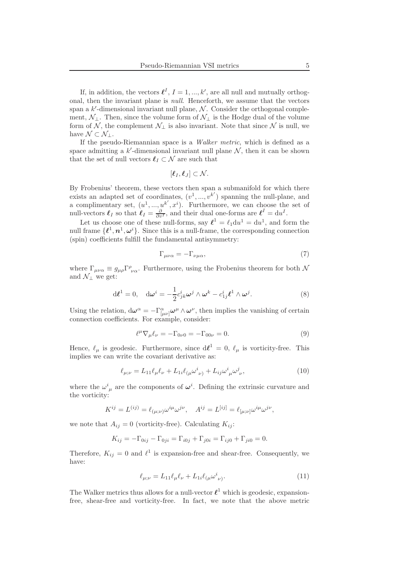If, in addition, the vectors  $\ell^I$ ,  $I = 1, ..., k'$ , are all null and mutually orthogonal, then the invariant plane is null. Henceforth, we assume that the vectors span a  $k'$ -dimensional invariant null plane,  $\mathcal N$ . Consider the orthogonal complement,  $\mathcal{N}_\perp$ . Then, since the volume form of  $\mathcal{N}_\perp$  is the Hodge dual of the volume form of N, the complement  $\mathcal{N}_\perp$  is also invariant. Note that since N is null, we have  $\mathcal{N} \subset \mathcal{N}_1$ .

If the pseudo-Riemannian space is a Walker metric, which is defined as a space admitting a  $k'$ -dimensional invariant null plane  $N$ , then it can be shown that the set of null vectors  $\ell_I \subset \mathcal{N}$  are such that

$$
[\boldsymbol{\ell}_I,\boldsymbol{\ell}_J]\subset \mathcal{N}.
$$

By Frobenius' theorem, these vectors then span a submanifold for which there exists an adapted set of coordinates,  $(v^1, ..., v^{k'})$  spanning the null-plane, and a complimentary set,  $(u^1, ..., u^{k'}, x^i)$ . Furthermore, we can choose the set of null-vectors  $\ell_I$  so that  $\ell_I = \frac{\partial}{\partial v^I}$ , and their dual one-forms are  $\ell^I = du^I$ .

Let us choose one of these null-forms, say  $\ell^1 = \ell_1 du^1 = du^1$ , and form the null frame  $\{\ell^1, n^1, \omega^i\}$ . Since this is a null-frame, the corresponding connection (spin) coefficients fulfill the fundamental antisymmetry:

$$
\Gamma_{\mu\nu\alpha} = -\Gamma_{\nu\mu\alpha},\tag{7}
$$

where  $\Gamma_{\mu\nu\alpha} \equiv g_{\mu\rho} \Gamma^{\rho}_{\nu\alpha}$ . Furthermore, using the Frobenius theorem for both  $\mathcal N$ and  $\mathcal{N}_\perp$  we get:

$$
d\boldsymbol{\ell}^{1} = 0, \quad d\boldsymbol{\omega}^{i} = -\frac{1}{2}c_{jk}^{i}\boldsymbol{\omega}^{j} \wedge \boldsymbol{\omega}^{k} - c_{1j}^{i}\boldsymbol{\ell}^{1} \wedge \boldsymbol{\omega}^{j}.
$$
 (8)

Using the relation,  $d\omega^{\alpha} = -\Gamma^{\alpha}_{[\mu\nu]} \omega^{\mu} \wedge \omega^{\nu}$ , then implies the vanishing of certain connection coefficients. For example, consider:

$$
\ell^{\mu}\nabla_{\mu}\ell_{\nu} = -\Gamma_{0\nu 0} = -\Gamma_{00\nu} = 0.
$$
\n(9)

Hence,  $\ell_{\mu}$  is geodesic. Furthermore, since  $d\ell^{1} = 0$ ,  $\ell_{\mu}$  is vorticity-free. This implies we can write the covariant derivative as:

$$
\ell_{\mu;\nu} = L_{11}\ell_{\mu}\ell_{\nu} + L_{1i}\ell_{(\mu}\omega^{i}_{\nu)} + L_{ij}\omega^{i}_{\mu}\omega^{j}_{\nu},\tag{10}
$$

where the  $\omega^i_{\mu}$  are the components of  $\omega^i$ . Defining the extrinsic curvature and the vorticity:

$$
K^{ij} = L^{(ij)} = \ell_{(\mu;\nu)} \omega^{i\mu} \omega^{j\nu}, \quad A^{ij} = L^{[ij]} = \ell_{[\mu;\nu]} \omega^{i\mu} \omega^{j\nu},
$$

we note that  $A_{ij} = 0$  (vorticity-free). Calculating  $K_{ij}$ :

$$
K_{ij} = -\Gamma_{0ij} - \Gamma_{0ji} = \Gamma_{i0j} + \Gamma_{j0i} = \Gamma_{ij0} + \Gamma_{ji0} = 0.
$$

Therefore,  $K_{ij} = 0$  and  $\ell^1$  is expansion-free and shear-free. Consequently, we have:

$$
\ell_{\mu;\nu} = L_{11}\ell_{\mu}\ell_{\nu} + L_{1i}\ell_{(\mu}\omega^{i}_{\nu)}.
$$
\n(11)

The Walker metrics thus allows for a null-vector  $\ell^1$  which is geodesic, expansionfree, shear-free and vorticity-free. In fact, we note that the above metric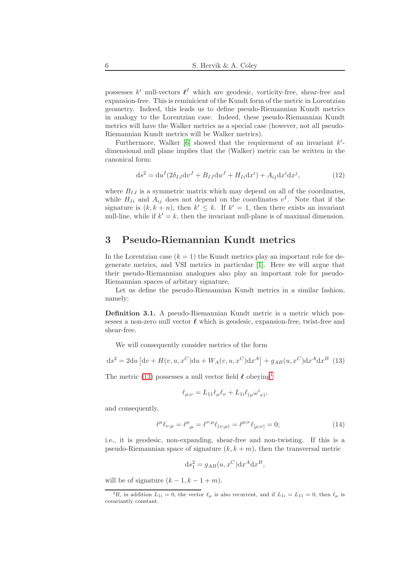possesses  $k'$  null-vectors  $\ell^I$  which are geodesic, vorticity-free, shear-free and expansion-free. This is reminicient of the Kundt form of the metric in Lorentzian geometry. Indeed, this leads us to define pseudo-Riemannian Kundt metrics in analogy to the Lorentzian case. Indeed, these pseudo-Riemannian Kundt metrics will have the Walker metrics as a special case (however, not all pseudo-Riemannian Kundt metrics will be Walker metrics).

Furthermore, Walker  $[6]$  showed that the requirement of an invariant  $k'$ dimensional null plane implies that the (Walker) metric can be written in the canonical form:

$$
ds2 = duI(2\delta_{IJ}dvJ + B_{IJ}duJ + H_{Ii}dxi) + A_{ij}dxidxj,
$$
\n(12)

where  $B_{IJ}$  is a symmetric matrix which may depend on all of the coordinates, while  $H_{Ii}$  and  $A_{ij}$  does not depend on the coordinates  $v^{I}$ . Note that if the signature is  $(k, k + n)$ , then  $k' \leq k$ . If  $k' = 1$ , then there exists an invariant null-line, while if  $k' = k$ , then the invariant null-plane is of maximal dimension.

# 3 Pseudo-Riemannian Kundt metrics

In the Lorentzian case  $(k = 1)$  the Kundt metrics play an important role for degenerate metrics, and VSI metrics in particular [\[1\]](#page-12-0). Here we will argue that their pseudo-Riemannian analogues also play an important role for pseudo-Riemannian spaces of arbitary signature.

Let us define the pseudo-Riemannian Kundt metrics in a similar fashion, namely:

Definition 3.1. A pseudo-Riemannian Kundt metric is a metric which possesses a non-zero null vector  $\ell$  which is geodesic, expansion-free, twist-free and shear-free.

We will consequently consider metrics of the form

<span id="page-5-0"></span>
$$
ds^{2} = 2du \left[ dv + H(v, u, x^{C})du + W_{A}(v, u, x^{C})dx^{A} \right] + g_{AB}(u, x^{C})dx^{A}dx^{B}
$$
 (13)

The metric [\(13\)](#page-5-0) possesses a null vector field  $\ell$  obeying<sup>[1](#page-5-1)</sup>

$$
\ell_{\mu;\nu}=L_{11}\ell_\mu\ell_\nu+L_{1i}\ell_{(\mu}\omega^i_{\ \nu)},
$$

and consequently,

$$
\ell^{\mu}\ell_{\nu;\mu} = \ell^{\mu}_{;\mu} = \ell^{\nu;\mu}\ell_{(\nu;\mu)} = \ell^{\mu;\nu}\ell_{[\mu;\nu]} = 0; \tag{14}
$$

i.e., it is geodesic, non-expanding, shear-free and non-twisting. If this is a pseudo-Riemannian space of signature  $(k, k + m)$ , then the transversal metric

$$
ds_1^2 = g_{AB}(u, x^C) dx^A dx^B,
$$

will be of signature  $(k-1, k-1+m)$ .

<span id="page-5-1"></span><sup>&</sup>lt;sup>1</sup>If, in addition  $L_{1i} = 0$ , the vector  $\ell_{\mu}$  is also recurrent, and if  $L_{1i} = L_{11} = 0$ , then  $\ell_{\mu}$  is covariantly constant.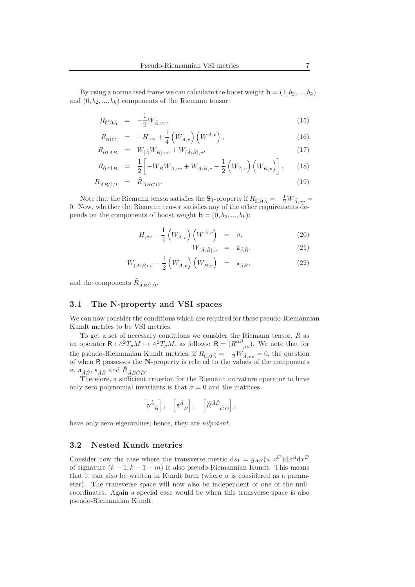By using a normalised frame we can calculate the boost weight  $\mathbf{b} = (1, b_2, ..., b_k)$ and  $(0, b_2, ..., b_k)$  components of the Riemann tensor:

$$
R_{\hat{0}\hat{1}\hat{0}\hat{A}} = -\frac{1}{2}W_{\hat{A},vv},\tag{15}
$$

$$
R_{\hat{0}\hat{1}\hat{0}\hat{1}} = -H_{,vv} + \frac{1}{4} \left( W_{\hat{A},v} \right) \left( W^{\hat{A},v} \right), \tag{16}
$$

$$
R_{\hat{0}\hat{1}\hat{A}\hat{B}} = W_{[\hat{A}}W_{\hat{B}],vv} + W_{[\hat{A};\hat{B}],v},\tag{17}
$$

$$
R_{\hat{0}\hat{A}\hat{1}\hat{B}} = \frac{1}{2} \left[ -W_{\hat{B}} W_{\hat{A},vv} + W_{\hat{A};\hat{B},v} - \frac{1}{2} \left( W_{\hat{A},v} \right) \left( W_{\hat{B},v} \right) \right],
$$
 (18)

$$
R_{\hat{A}\hat{B}\hat{C}\hat{D}} = \tilde{R}_{\hat{A}\hat{B}\hat{C}\hat{D}}.
$$
\n(19)

Note that the Riemann tensor satisfies the  ${\bf S}_1$ -property if  $R_{\hat 0\hat 1\hat 0\hat A}=-\frac{1}{2}W_{\hat A, vv}=0$ 0. Now, whether the Riemann tensor satisfies any of the other requirements depends on the components of boost weight  $\mathbf{b} = (0, b_2, ..., b_k)$ :

$$
H_{,vv} - \frac{1}{4} \left( W_{\hat{A},v} \right) \left( W^{\hat{A},v} \right) = \sigma, \tag{20}
$$

$$
W_{[\hat{A};\hat{B}],v} = \mathsf{a}_{\hat{A}\hat{B}},\tag{21}
$$

$$
W_{(\hat{A};\hat{B}),v} - \frac{1}{2} \left( W_{\hat{A},v} \right) \left( W_{\hat{B},v} \right) = \mathsf{s}_{\hat{A}\hat{B}},\tag{22}
$$

and the components  $\tilde{R}_{\hat{A}\hat{B}\hat{C}\hat{D}}$ .

### 3.1 The N-property and VSI spaces

We can now consider the conditions which are required for these pseudo-Riemannian Kundt metrics to be VSI metrics.

To get a set of necessary conditions we consider the Riemann tensor,  $R$  as an operator  $R: \wedge^2 T_p M \mapsto \wedge^2 T_p M$ , as follows:  $R = (R^{\alpha\beta}_{\mu\nu})$ . We note that for the pseudo-Riemannian Kundt metrics, if  $R_{\hat{0}\hat{1}\hat{0}\hat{A}} = -\frac{1}{2}W_{\hat{A},vv} = 0$ , the question of when  $R$  possesses the N-property is related to the values of the components  $\sigma$ ,  $a_{\hat{A}\hat{B}}$ ,  $s_{\hat{A}\hat{B}}$  and  $\tilde{R}_{\hat{A}\hat{B}\hat{C}\hat{D}}$ .

Therefore, a sufficient criterion for the Riemann curvature operator to have only zero polynomial invariants is that  $\sigma = 0$  and the matrices

$$
\left[{\sf a}^{\hat A}{}_{\hat B}\right],\quad \left[{\sf s}^{\hat A}{}_{\hat B}\right],\quad \left[\widetilde{R}^{\hat A\hat B}{}_{\hat C\hat D}\right],
$$

have only zero-eigenvalues; hence, they are *nilpotent*.

## 3.2 Nested Kundt metrics

Consider now the case where the transverse metric  $ds_1 = g_{AB}(u, x^C) dx^A dx^B$ of signature  $(k - 1, k - 1 + m)$  is also pseudo-Riemannian Kundt. This means that it can also be written in Kundt form (where  $u$  is considered as a parameter). The transverse space will now also be independent of one of the nullcoordinates. Again a special case would be when this transverse space is also pseudo-Riemannian Kundt.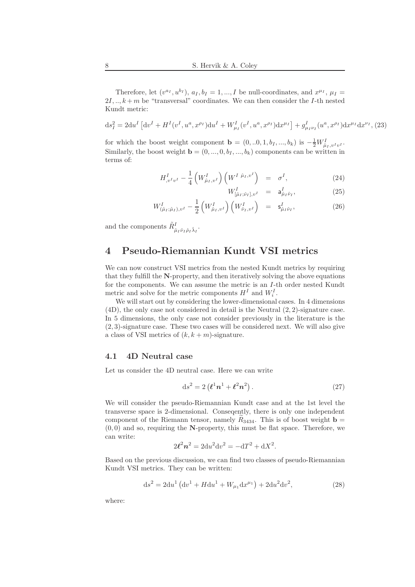Therefore, let  $(v^{a_I}, u^{b_I})$ ,  $a_I, b_I = 1, ..., I$  be null-coordinates, and  $x^{\mu_I}$ ,  $\mu_I =$  $2I, \ldots, k+m$  be "transversal" coordinates. We can then consider the *I*-th nested Kundt metric:

$$
ds_I^2 = 2du^I \left[ dv^I + H^I(v^I, u^a, x^{\rho_I}) du^I + W^I_{\mu_I}(v^I, u^a, x^{\rho_I}) dx^{\mu_I} \right] + g^I_{\mu_I \nu_I}(u^a, x^{\rho_I}) dx^{\mu_I} dx^{\nu_I},
$$
 (23)

for which the boost weight component  $\mathbf{b} = (0,..0,1,b_I,...,b_k)$  is  $-\frac{1}{2}W_{\hat{\mu}_I,v^Iv^I}^I$ . Similarly, the boost weight  $\mathbf{b} = (0, ..., 0, b_I, ..., b_k)$  components can be written in terms of:

$$
H_{,v^I v^I}^I - \frac{1}{4} \left( W_{\hat{\mu}_I, v^I}^I \right) \left( W^I \stackrel{\hat{\mu}_I, v^I}{\longrightarrow} \right) = \sigma^I,
$$
\n(24)

$$
W^I_{[\hat{\mu}_I;\hat{\nu}_I],v^I} = \mathsf{a}^I_{\hat{\mu}_I\hat{\nu}_I},\tag{25}
$$

$$
W^{I}_{(\hat{\mu}_{I};\hat{\mu}_{I}),v^{I}} - \frac{1}{2} \left( W^{I}_{\hat{\mu}_{I},v^{I}} \right) \left( W^{I}_{\hat{\nu}_{I},v^{I}} \right) = \mathsf{s}^{I}_{\hat{\mu}_{I}\hat{\nu}_{I}}, \tag{26}
$$

and the components  $\tilde{R}^I_{\hat{\mu}_I \hat{\nu}_I \hat{\rho}_I \hat{\lambda}_I}$ .

# 4 Pseudo-Riemannian Kundt VSI metrics

We can now construct VSI metrics from the nested Kundt metrics by requiring that they fulfill the N-property, and then iteratively solving the above equations for the components. We can assume the metric is an I-th order nested Kundt metric and solve for the metric components  $H^I$  and  $W_i^I$ .

We will start out by considering the lower-dimensional cases. In 4 dimensions (4D), the only case not considered in detail is the Neutral (2, 2)-signature case. In 5 dimensions, the only case not consider previously in the literature is the (2, 3)-signature case. These two cases will be considered next. We will also give a class of VSI metrics of  $(k, k + m)$ -signature.

## 4.1 4D Neutral case

Let us consider the 4D neutral case. Here we can write

$$
ds^2 = 2\left(\boldsymbol{\ell}^1 \boldsymbol{n}^1 + \boldsymbol{\ell}^2 \boldsymbol{n}^2\right). \tag{27}
$$

We will consider the pseudo-Riemannian Kundt case and at the 1st level the transverse space is 2-dimensional. Conseqently, there is only one independent component of the Riemann tensor, namely  $R_{3434}$ . This is of boost weight **b** =  $(0, 0)$  and so, requiring the N-property, this must be flat space. Therefore, we can write:

$$
2\ell^2 n^2 = 2du^2 dv^2 = -dT^2 + dX^2.
$$

Based on the previous discussion, we can find two classes of pseudo-Riemannian Kundt VSI metrics. They can be written:

$$
ds^{2} = 2du^{1} (dv^{1} + H du^{1} + W_{\mu_{1}} dx^{\mu_{1}}) + 2du^{2} dv^{2},
$$
\n(28)

where: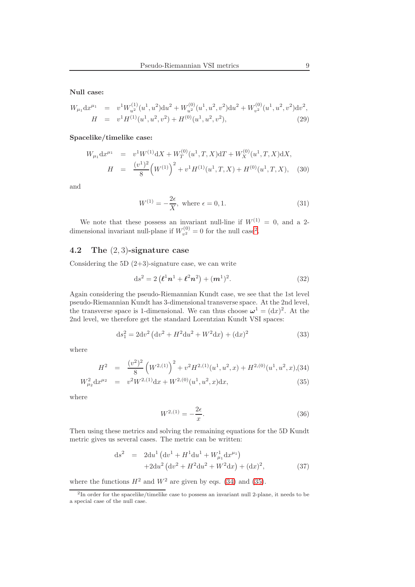Null case:

$$
W_{\mu_1} dx^{\mu_1} = v^1 W_{u^2}^{(1)} (u^1, u^2) du^2 + W_{u^2}^{(0)} (u^1, u^2, v^2) du^2 + W_{v^2}^{(0)} (u^1, u^2, v^2) dv^2,
$$
  
\n
$$
H = v^1 H^{(1)} (u^1, u^2, v^2) + H^{(0)} (u^1, u^2, v^2),
$$
\n(29)

Spacelike/timelike case:

$$
W_{\mu_1} dx^{\mu_1} = v^1 W^{(1)} dx + W_T^{(0)} (u^1, T, X) dT + W_X^{(0)} (u^1, T, X) dX,
$$
  
\n
$$
H = \frac{(v^1)^2}{8} (W^{(1)})^2 + v^1 H^{(1)} (u^1, T, X) + H^{(0)} (u^1, T, X),
$$
 (30)

and

$$
W^{(1)} = -\frac{2\epsilon}{X}, \text{ where } \epsilon = 0, 1. \tag{31}
$$

We note that these possess an invariant null-line if  $W^{(1)} = 0$ , and a 2dimensional invariant null-plane if  $W_{n^2}^{(0)}$  $v^{(0)}_{v^2} = 0$  $v^{(0)}_{v^2} = 0$  $v^{(0)}_{v^2} = 0$  for the null case<sup>2</sup>.

#### 4.2 The (2, 3)-signature case

Considering the  $5D(2+3)$ -signature case, we can write

$$
ds^{2} = 2\left(\ell^{1}n^{1} + \ell^{2}n^{2}\right) + (m^{1})^{2}.
$$
 (32)

Again considering the pseudo-Riemannian Kundt case, we see that the 1st level pseudo-Riemannian Kundt has 3-dimensional transverse space. At the 2nd level, the transverse space is 1-dimensional. We can thus choose  $\omega^1 = (dx)^2$ . At the 2nd level, we therefore get the standard Lorentzian Kundt VSI spaces:

$$
ds_1^2 = 2dv^2 \left( dv^2 + H^2 du^2 + W^2 dx \right) + (dx)^2
$$
\n(33)

where

<span id="page-8-1"></span>
$$
H^{2} = \frac{(v^{2})^{2}}{8} \left(W^{2,(1)}\right)^{2} + v^{2} H^{2,(1)}(u^{1}, u^{2}, x) + H^{2,(0)}(u^{1}, u^{2}, x), (34)
$$
  
\n
$$
W_{\mu_{2}}^{2} dx^{\mu_{2}} = v^{2} W^{2,(1)} dx + W^{2,(0)}(u^{1}, u^{2}, x) dx,
$$
\n(35)

where

$$
W^{2,(1)} = -\frac{2\epsilon}{x}.
$$
\n(36)

Then using these metrics and solving the remaining equations for the 5D Kundt metric gives us several cases. The metric can be written:

$$
ds^{2} = 2du^{1} (dv^{1} + H^{1}du^{1} + W_{\mu_{1}}^{1}dx^{\mu_{1}}) + 2du^{2} (dv^{2} + H^{2}du^{2} + W^{2}dx) + (dx)^{2},
$$
(37)

where the functions  $H^2$  and  $W^2$  are given by eqs. [\(34\)](#page-8-1) and [\(35\)](#page-8-1).

<span id="page-8-0"></span><sup>&</sup>lt;sup>2</sup>In order for the spacelike/timelike case to possess an invariant null 2-plane, it needs to be a special case of the null case.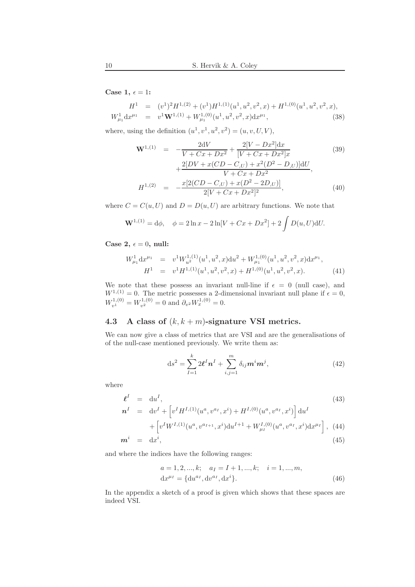Case 1,  $\epsilon = 1$ :

$$
H^{1} = (v^{1})^{2}H^{1,(2)} + (v^{1})H^{1,(1)}(u^{1}, u^{2}, v^{2}, x) + H^{1,(0)}(u^{1}, u^{2}, v^{2}, x),
$$
  
\n
$$
W_{\mu_{1}}^{1} dx^{\mu_{1}} = v^{1} \mathbf{W}^{1,(1)} + W_{\mu_{1}}^{1,(0)}(u^{1}, u^{2}, v^{2}, x) dx^{\mu_{1}},
$$
\n(38)

where, using the definition  $(u^1, v^1, u^2, v^2) = (u, v, U, V)$ ,

$$
\mathbf{W}^{1,(1)} = -\frac{2dV}{V + Cx + Dx^{2}} + \frac{2[V - Dx^{2}]dx}{[V + Cx + Dx^{2}]x} + \frac{2[DV + x(CD - C,U) + x^{2}(D^{2} - D,U)]dU}{V + Cx + Dx^{2}},
$$
\n
$$
H^{1,(2)} = -\frac{x[2(CD - C,U) + x(D^{2} - 2D,U)]}{2[V + Cx + Dx^{2}]^{2}},
$$
\n(40)

where  $C = C(u, U)$  and  $D = D(u, U)$  are arbitrary functions. We note that

$$
\mathbf{W}^{1,(1)} = \mathrm{d}\phi, \quad \phi = 2\ln x - 2\ln[V + Cx + Dx^2] + 2\int D(u, U)\mathrm{d}U.
$$

Case 2,  $\epsilon = 0$ , null:

$$
W_{\mu_1}^1 dx^{\mu_1} = v^1 W_{u^2}^{1,(1)}(u^1, u^2, x) du^2 + W_{\mu_1}^{1,(0)}(u^1, u^2, v^2, x) dx^{\mu_1},
$$
  
\n
$$
H^1 = v^1 H^{1,(1)}(u^1, u^2, v^2, x) + H^{1,(0)}(u^1, u^2, v^2, x).
$$
\n(41)

We note that these possess an invariant null-line if  $\epsilon = 0$  (null case), and  $W^{1,(1)} = 0$ . The metric possesses a 2-dimensional invariant null plane if  $\epsilon = 0$ ,  $W_{v^1}^{1,(0)} = W_{v^2}^{1,(0)} = 0$  and  $\partial_{v^2} W_x^{1,(0)} = 0$ .

### <span id="page-9-0"></span>4.3 A class of  $(k, k+m)$ -signature VSI metrics.

We can now give a class of metrics that are VSI and are the generalisations of of the null-case mentioned previously. We write them as:

$$
ds^{2} = \sum_{I=1}^{k} 2\ell^{I} n^{I} + \sum_{i,j=1}^{m} \delta_{ij} m^{i} m^{j},
$$
\n(42)

where

$$
\begin{aligned}\n\boldsymbol{\ell}^{I} &= \mathrm{d}u^{I}, \\
\boldsymbol{n}^{I} &= \mathrm{d}v^{I} + \left[v^{I}H^{I,(1)}(u^{a}, v^{a_{I}}, x^{i}) + H^{I,(0)}(u^{a}, v^{a_{I}}, x^{i})\right] \mathrm{d}u^{I}\n\end{aligned} \tag{43}
$$

+ 
$$
\left[v^I W^{I,(1)}(u^a, v^{a_{I+1}}, x^i) \mathrm{d} u^{I+1} + W^{I,(0)}_{\mu_I}(u^a, v^{a_I}, x^i) \mathrm{d} x^{\mu_I}\right]
$$
, (44)

$$
\mathbf{m}^i = \mathrm{d}x^i,\tag{45}
$$

and where the indices have the following ranges:

$$
a = 1, 2, ..., k; \quad a_I = I + 1, ..., k; \quad i = 1, ..., m,
$$
  

$$
dx^{\mu_I} = \{du^{a_I}, dv^{a_I}, dx^i\}.
$$
 (46)

In the appendix a sketch of a proof is given which shows that these spaces are indeed VSI.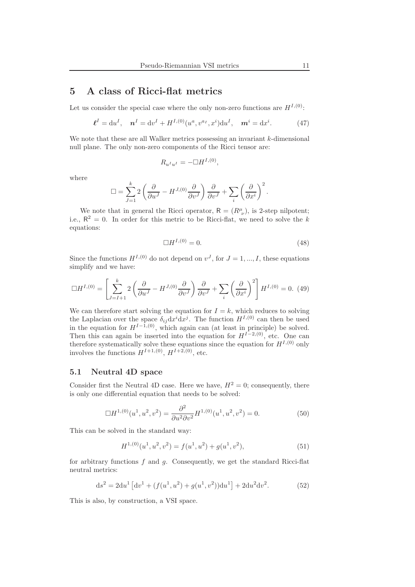# 5 A class of Ricci-flat metrics

Let us consider the special case where the only non-zero functions are  $H^{I,(0)}$ :

$$
\boldsymbol{\ell}^{I} = \mathrm{d}u^{I}, \quad \boldsymbol{n}^{I} = \mathrm{d}v^{I} + H^{I,(0)}(u^{a}, v^{a_{I}}, x^{i})\mathrm{d}u^{I}, \quad \boldsymbol{m}^{i} = \mathrm{d}x^{i}.
$$
 (47)

We note that these are all Walker metrics possessing an invariant  $k$ -dimensional null plane. The only non-zero components of the Ricci tensor are:

$$
R_{u^I u^I} = -\Box H^{I,(0)},
$$

where

$$
\Box = \sum_{J=1}^{k} 2 \left( \frac{\partial}{\partial u^{J}} - H^{J,(0)} \frac{\partial}{\partial v^{J}} \right) \frac{\partial}{\partial v^{J}} + \sum_{i} \left( \frac{\partial}{\partial x^{i}} \right)^{2}.
$$

We note that in general the Ricci operator,  $R = (R^{\mu}_{\nu})$ , is 2-step nilpotent; i.e.,  $R^2 = 0$ . In order for this metric to be Ricci-flat, we need to solve the k equations:

$$
\Box H^{I,(0)} = 0.\t\t(48)
$$

Since the functions  $H^{I,(0)}$  do not depend on  $v^J$ , for  $J=1,...,I$ , these equations simplify and we have:

$$
\Box H^{I,(0)} = \left[ \sum_{J=I+1}^{k} 2 \left( \frac{\partial}{\partial u^{J}} - H^{J,(0)} \frac{\partial}{\partial v^{J}} \right) \frac{\partial}{\partial v^{J}} + \sum_{i} \left( \frac{\partial}{\partial x^{i}} \right)^{2} \right] H^{I,(0)} = 0. \tag{49}
$$

We can therefore start solving the equation for  $I = k$ , which reduces to solving the Laplacian over the space  $\delta_{ij} dx^i dx^j$ . The function  $H^{I,(0)}$  can then be used in the equation for  $H^{I-\hat{1},(0)}$ , which again can (at least in principle) be solved. Then this can again be inserted into the equation for  $H^{I-2, (0)}$ , etc. One can therefore systematically solve these equations since the equation for  $H^{I,(0)}$  only involves the functions  $H^{I+1,(0)}$ ,  $H^{I+2,(0)}$ , etc.

### 5.1 Neutral 4D space

Consider first the Neutral 4D case. Here we have,  $H^2 = 0$ ; consequently, there is only one differential equation that needs to be solved:

$$
\Box H^{1,(0)}(u^1, u^2, v^2) = \frac{\partial^2}{\partial u^2 \partial v^2} H^{1,(0)}(u^1, u^2, v^2) = 0.
$$
 (50)

This can be solved in the standard way:

$$
H^{1,(0)}(u^1, u^2, v^2) = f(u^1, u^2) + g(u^1, v^2),
$$
\n(51)

for arbitrary functions  $f$  and  $g$ . Consequently, we get the standard Ricci-flat neutral metrics:

$$
ds^{2} = 2du^{1} \left[ dv^{1} + (f(u^{1}, u^{2}) + g(u^{1}, v^{2}))du^{1} \right] + 2du^{2}dv^{2}.
$$
 (52)

This is also, by construction, a VSI space.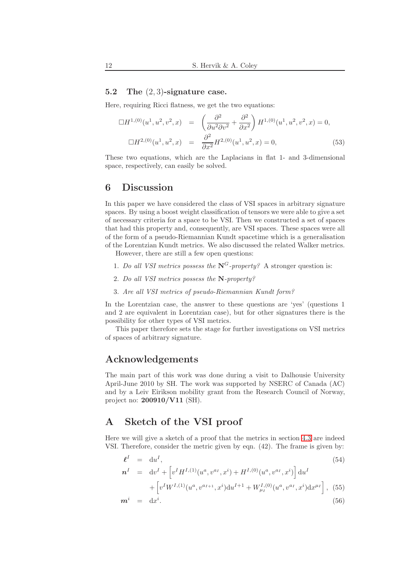#### 5.2 The (2, 3)-signature case.

Here, requiring Ricci flatness, we get the two equations:

$$
\Box H^{1,(0)}(u^1, u^2, v^2, x) = \left(\frac{\partial^2}{\partial u^2 \partial v^2} + \frac{\partial^2}{\partial x^2}\right) H^{1,(0)}(u^1, u^2, v^2, x) = 0,
$$
  

$$
\Box H^{2,(0)}(u^1, u^2, x) = \frac{\partial^2}{\partial x^2} H^{2,(0)}(u^1, u^2, x) = 0,
$$
 (53)

These two equations, which are the Laplacians in flat 1- and 3-dimensional space, respectively, can easily be solved.

## 6 Discussion

In this paper we have considered the class of VSI spaces in arbitrary signature spaces. By using a boost weight classification of tensors we were able to give a set of necessary criteria for a space to be VSI. Then we constructed a set of spaces that had this property and, consequently, are VSI spaces. These spaces were all of the form of a pseudo-Riemannian Kundt spacetime which is a generalisation of the Lorentzian Kundt metrics. We also discussed the related Walker metrics.

However, there are still a few open questions:

- 1. Do all VSI metrics possess the  $N^G$ -property? A stronger question is:
- 2. Do all VSI metrics possess the N-property?
- 3. Are all VSI metrics of pseudo-Riemannian Kundt form?

In the Lorentzian case, the answer to these questions are 'yes' (questions 1 and 2 are equivalent in Lorentzian case), but for other signatures there is the possibility for other types of VSI metrics.

This paper therefore sets the stage for further investigations on VSI metrics of spaces of arbitrary signature.

# Acknowledgements

The main part of this work was done during a visit to Dalhousie University April-June 2010 by SH. The work was supported by NSERC of Canada (AC) and by a Leiv Eirikson mobility grant from the Research Council of Norway, project no: 200910/V11 (SH).

## A Sketch of the VSI proof

Here we will give a sketch of a proof that the metrics in section [4.3](#page-9-0) are indeed VSI. Therefore, consider the metric given by eqn. (42). The frame is given by:

$$
\ell^{I} = du^{I},
$$
\n
$$
n^{I} = dv^{I} + \left[ v^{I} H^{I,(1)}(u^{a}, v^{a_{I}}, x^{i}) + H^{I,(0)}(u^{a}, v^{a_{I}}, x^{i}) \right] du^{I}
$$
\n
$$
+ \left[ v^{I} W^{I,(1)}(u^{a}, v^{a_{I+1}}, x^{i}) du^{I+1} + W^{I,(0)}_{\mu_{I}}(u^{a}, v^{a_{I}}, x^{i}) dx^{\mu_{I}} \right],
$$
\n(55)

$$
\mathbf{m}^i = \mathrm{d}x^i. \tag{56}
$$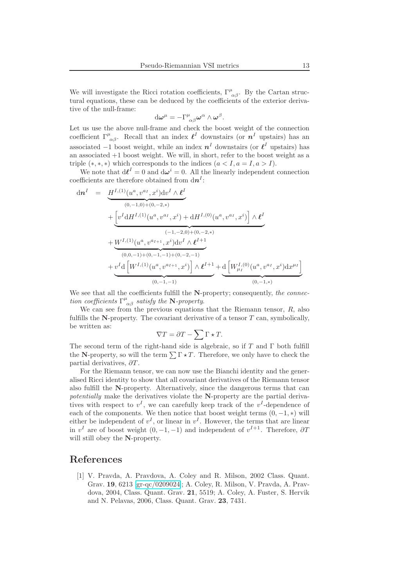We will investigate the Ricci rotation coefficients,  $\Gamma^{\mu}_{\alpha\beta}$ . By the Cartan structural equations, these can be deduced by the coefficients of the exterior derivative of the null-frame:

$$
\mathrm{d}\boldsymbol{\omega}^{\mu}=-\Gamma^{\mu}_{\;\alpha\beta}\boldsymbol{\omega}^{\alpha}\wedge\boldsymbol{\omega}^{\beta}.
$$

Let us use the above null-frame and check the boost weight of the connection coefficient  $\Gamma^{\mu}_{\alpha\beta}$ . Recall that an index  $\ell^{I}$  downstairs (or  $n^{I}$  upstairs) has an associated  $-1$  boost weight, while an index  $n<sup>I</sup>$  downstairs (or  $\ell<sup>I</sup>$  upstairs) has an associated +1 boost weight. We will, in short, refer to the boost weight as a triple  $(*,*,*)$  which corresponds to the indices  $(a < I, a = I, a > I)$ .

We note that  $d\ell^I = 0$  and  $d\omega^i = 0$ . All the linearly independent connection coefficients are therefore obtained from  $\mathrm{d}n^{I}$ :

$$
d\mathbf{n}^{I} = \underbrace{\underline{H}^{I,(1)}(u^{a}, v^{a_{I}}, x^{i})dv^{I} \wedge \underline{\ell}^{I}}_{(0,-1,0)+(0,-2,*)}
$$
\n
$$
+ \underbrace{\left[v^{I} dH^{I,(1)}(u^{a}, v^{a_{I}}, x^{i}) + dH^{I,(0)}(u^{a}, v^{a_{I}}, x^{i})\right] \wedge \underline{\ell}^{I}}_{(-1,-2,0)+(0,-2,*)}
$$
\n
$$
+ \underbrace{W^{I,(1)}(u^{a}, v^{a_{I+1}}, x^{i})dv^{I} \wedge \underline{\ell}^{I+1}}_{(0,0,-1)+(0,-1,-1)+(0,-2,-1)} + \underbrace{v^{I} d\left[W^{I,(1)}(u^{a}, v^{a_{I+1}}, x^{i})\right] \wedge \underline{\ell}^{I+1}}_{(0,-1,-1)} + \underbrace{d\left[W^{I,(0)}_{\mu_{I}}(u^{a}, v^{a_{I}}, x^{i})dx^{\mu_{I}}\right]}_{(0,-1,+)}
$$

We see that all the coefficients fulfill the N-property; consequently, the connection coefficients  $\Gamma^{\mu}_{\ \alpha\beta}$  satisfy the N-property.

We can see from the previous equations that the Riemann tensor,  $R$ , also fulfills the N-property. The covariant derivative of a tensor  $T$  can, symbolically, be written as:

$$
\nabla T = \partial T - \sum \Gamma \star T.
$$

The second term of the right-hand side is algebraic, so if  $T$  and  $\Gamma$  both fulfill the N-property, so will the term  $\sum \Gamma \star T$ . Therefore, we only have to check the partial derivatives,  $\partial T$ .

For the Riemann tensor, we can now use the Bianchi identity and the generalised Ricci identity to show that all covariant derivatives of the Riemann tensor also fulfill the N-property. Alternatively, since the dangerous terms that can potentially make the derivatives violate the N-property are the partial derivatives with respect to  $v<sup>I</sup>$ , we can carefully keep track of the  $v<sup>I</sup>$ -dependence of each of the components. We then notice that boost weight terms  $(0, -1, *)$  will either be independent of  $v^I$ , or linear in  $v^I$ . However, the terms that are linear in  $v<sup>I</sup>$  are of boost weight  $(0, -1, -1)$  and independent of  $v<sup>I+1</sup>$ . Therefore,  $\partial T$ will still obey the N-property.

## <span id="page-12-0"></span>References

[1] V. Pravda, A. Pravdova, A. Coley and R. Milson, 2002 Class. Quant. Grav. 19, 6213 [\[gr-qc/0209024\]](http://arxiv.org/abs/gr-qc/0209024); A. Coley, R. Milson, V. Pravda, A. Pravdova, 2004, Class. Quant. Grav. 21, 5519; A. Coley, A. Fuster, S. Hervik and N. Pelavas, 2006, Class. Quant. Grav. 23, 7431.